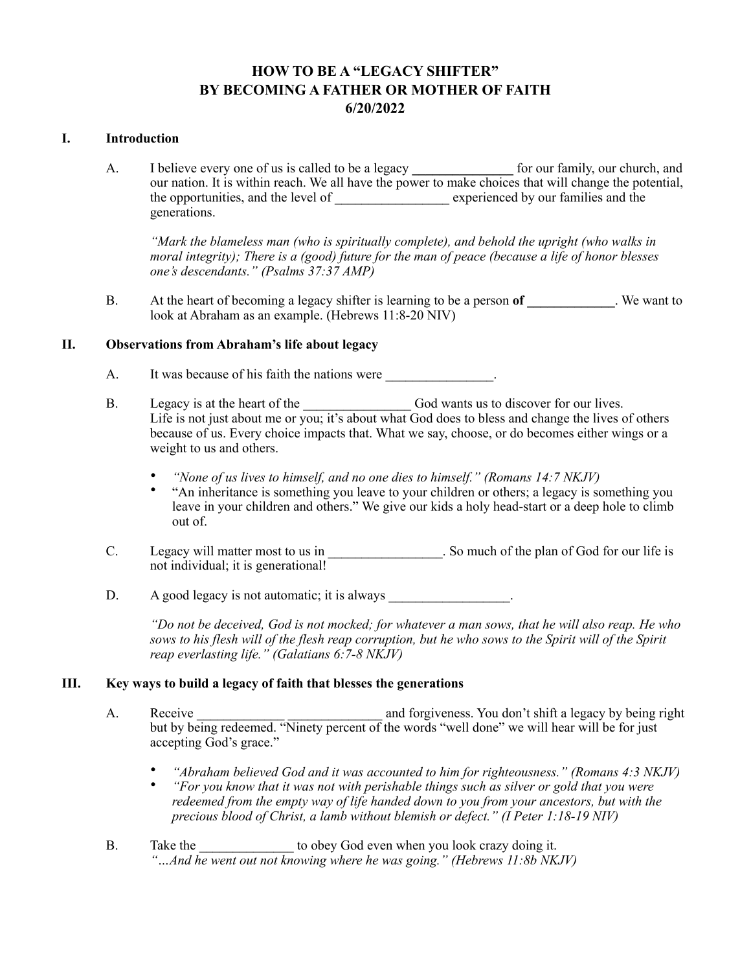# **HOW TO BE A "LEGACY SHIFTER" BY BECOMING A FATHER OR MOTHER OF FAITH 6/20/2022**

#### **I. Introduction**

A. I believe every one of us is called to be a legacy <u>for our family</u>, our church, and our nation. It is within reach. We all have the power to make choices that will change the potential, the opportunities, and the level of experienced by our families and the generations.

*"Mark the blameless man (who is spiritually complete), and behold the upright (who walks in moral integrity); There is a (good) future for the man of peace (because a life of honor blesses one's descendants." (Psalms 37:37 AMP)*

B. At the heart of becoming a legacy shifter is learning to be a person **of \_\_\_\_\_\_\_\_\_\_\_\_\_**. We want to look at Abraham as an example. (Hebrews 11:8-20 NIV)

# **II. Observations from Abraham's life about legacy**

- A. It was because of his faith the nations were  $\blacksquare$ .
- B. Legacy is at the heart of the God wants us to discover for our lives. Life is not just about me or you; it's about what God does to bless and change the lives of others because of us. Every choice impacts that. What we say, choose, or do becomes either wings or a weight to us and others.
	- *"None of us lives to himself, and no one dies to himself." (Romans 14:7 NKJV)*
	- "An inheritance is something you leave to your children or others; a legacy is something you leave in your children and others." We give our kids a holy head-start or a deep hole to climb out of.
- C. Legacy will matter most to us in So much of the plan of God for our life is not individual; it is generational!
- $D.$  A good legacy is not automatic; it is always

*"Do not be deceived, God is not mocked; for whatever a man sows, that he will also reap. He who sows to his flesh will of the flesh reap corruption, but he who sows to the Spirit will of the Spirit reap everlasting life." (Galatians 6:7-8 NKJV)*

# **III. Key ways to build a legacy of faith that blesses the generations**

- A. Receive and forgiveness. You don't shift a legacy by being right but by being redeemed. "Ninety percent of the words "well done" we will hear will be for just accepting God's grace."
	- *"Abraham believed God and it was accounted to him for righteousness." (Romans 4:3 NKJV)*
	- *"For you know that it was not with perishable things such as silver or gold that you were redeemed from the empty way of life handed down to you from your ancestors, but with the precious blood of Christ, a lamb without blemish or defect." (I Peter 1:18-19 NIV)*
- B. Take the to obey God even when you look crazy doing it. *"…And he went out not knowing where he was going." (Hebrews 11:8b NKJV)*